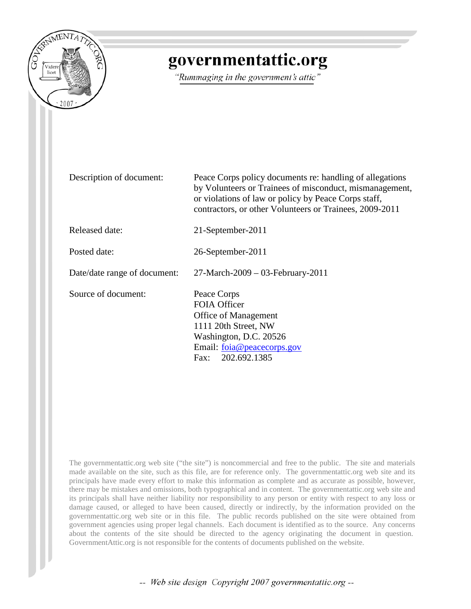

# governmentattic.org

"Rummaging in the government's attic"

| Description of document:     | Peace Corps policy documents re: handling of allegations<br>by Volunteers or Trainees of misconduct, mismanagement,<br>or violations of law or policy by Peace Corps staff,<br>contractors, or other Volunteers or Trainees, 2009-2011 |
|------------------------------|----------------------------------------------------------------------------------------------------------------------------------------------------------------------------------------------------------------------------------------|
| Released date:               | 21-September-2011                                                                                                                                                                                                                      |
| Posted date:                 | 26-September-2011                                                                                                                                                                                                                      |
| Date/date range of document: | $27$ -March-2009 – 03-February-2011                                                                                                                                                                                                    |
| Source of document:          | Peace Corps<br><b>FOIA Officer</b><br><b>Office of Management</b><br>1111 20th Street, NW<br>Washington, D.C. 20526<br>Email: foia@peacecorps.gov<br>Fax: 202.692.1385                                                                 |

The governmentattic.org web site ("the site") is noncommercial and free to the public. The site and materials made available on the site, such as this file, are for reference only. The governmentattic.org web site and its principals have made every effort to make this information as complete and as accurate as possible, however, there may be mistakes and omissions, both typographical and in content. The governmentattic.org web site and its principals shall have neither liability nor responsibility to any person or entity with respect to any loss or damage caused, or alleged to have been caused, directly or indirectly, by the information provided on the governmentattic.org web site or in this file. The public records published on the site were obtained from government agencies using proper legal channels. Each document is identified as to the source. Any concerns about the contents of the site should be directed to the agency originating the document in question. GovernmentAttic.org is not responsible for the contents of documents published on the website.

-- Web site design Copyright 2007 governmentattic.org --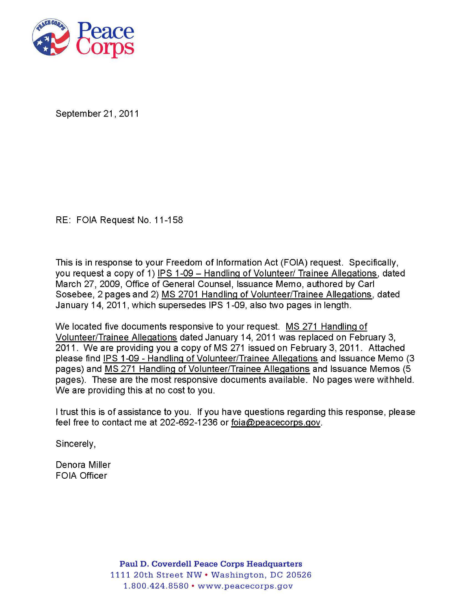

September 21 , 2011

RE: FOIA Request No. 11-158

This is in response to your Freedom of Information Act (FOIA) request. Specifically, you request a copy of 1) IPS 1-09 - Handling of Volunteer/ Trainee Allegations, dated March 27, 2009, Office of General Counsel, Issuance Memo, authored by Carl Sosebee, 2 pages and 2) MS 2701 Handling of Volunteer/Trainee Allegations, dated January 14, 2011 , which supersedes IPS 1-09, also two pages in length.

We located five documents responsive to your request. MS 271 Handling of Volunteer/Trainee Allegations dated January 14, 2011 was replaced on February 3, 2011. We are providing you a copy of MS 271 issued on February 3, 2011. Attached please find IPS 1-09- Handling of Volunteer/Trainee Allegations and Issuance Memo (3 pages) and MS 271 Handling of Volunteer/Trainee Allegations and Issuance Memos (5 pages). These are the most responsive documents available. No pages were withheld. We are providing this at no cost to you.

I trust this is of assistance to you. If you have questions regarding this response, please feel free to contact me at 202-692-1236 or foia@peacecorps.gov.

Sincerely,

Denora Miller FOIA Officer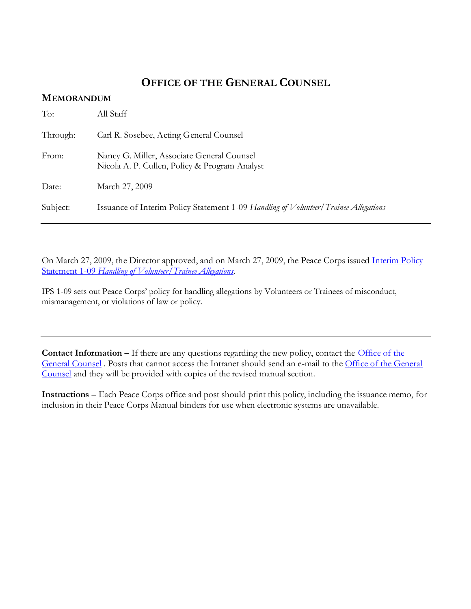#### **OFFICE OF THE GENERAL COUNSEL**

#### **MEMORANDUM**

| To:      | All Staff                                                                                   |
|----------|---------------------------------------------------------------------------------------------|
| Through: | Carl R. Sosebee, Acting General Counsel                                                     |
| From:    | Nancy G. Miller, Associate General Counsel<br>Nicola A. P. Cullen, Policy & Program Analyst |
| Date:    | March 27, 2009                                                                              |
| Subject: | Issuance of Interim Policy Statement 1-09 Handling of Volunteer/Trainee Allegations         |

On March 27, 2009, the Director approved, and on March 27, 2009, the Peace Corps issued *Interim Policy* Statement 1-09 *[Handling of Volunteer/Trainee Allegations.](http://inside.peacecorps.gov/index.cfm?viewDocument&document_id=20603&filetype=htm)*

IPS 1-09 sets out Peace Corps' policy for handling allegations by Volunteers or Trainees of misconduct, mismanagement, or violations of law or policy.

**Contact Information –** If there are any questions regarding the new policy, contact the Office of the [General Counsel](http://inside.peacecorps.gov/index.cfm?branch=15) . Posts that cannot access the Intranet should send an e-mail to the [Office of the General](http://inside.peacecorps.gov/index.cfm?branch=15)  [Counsel](http://inside.peacecorps.gov/index.cfm?branch=15) and they will be provided with copies of the revised manual section.

**Instructions** – Each Peace Corps office and post should print this policy, including the issuance memo, for inclusion in their Peace Corps Manual binders for use when electronic systems are unavailable.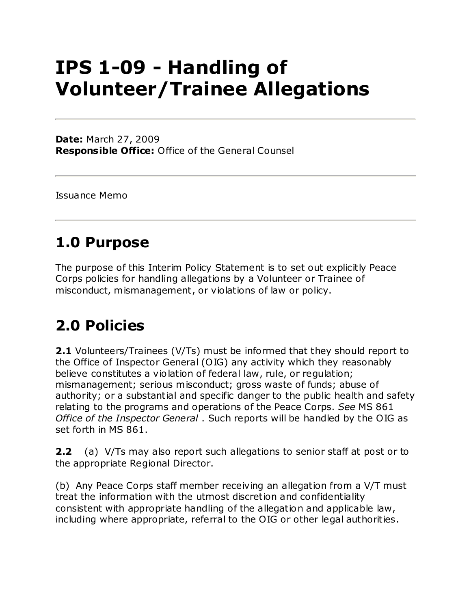# **IPS 1-09 - Handling of Volunteer/Trainee Allegations**

**Date:** March 27, 2009 **Responsible Office:** Office of the General Counsel

Issuance Memo

# **1.0 Purpose**

The purpose of this Interim Policy Statement is to set out explicitly Peace Corps policies for handling allegations by a Volunteer or Trainee of misconduct, mismanagement, or violations of law or policy.

# **2.0 Policies**

**2.1** Volunteers/Trainees (V/Ts) must be informed that they should report to the Office of Inspector General (OIG) any activity which they reasonably believe constitutes a violation of federal law, rule, or regulation; mismanagement; serious misconduct; gross waste of funds; abuse of authority; or a substantial and specific danger to the public health and safety relating to the programs and operations of the Peace Corps. *See* MS 861 *Office of the Inspector General* . Such reports will be handled by the OIG as set forth in MS 861.

**2.2** (a) V/Ts may also report such allegations to senior staff at post or to the appropriate Regional Director.

(b) Any Peace Corps staff member receiving an allegation from a V/T must treat the information with the utmost discretion and confidentiality consistent with appropriate handling of the allegation and applicable law, including where appropriate, referral to the OIG or other legal authorities.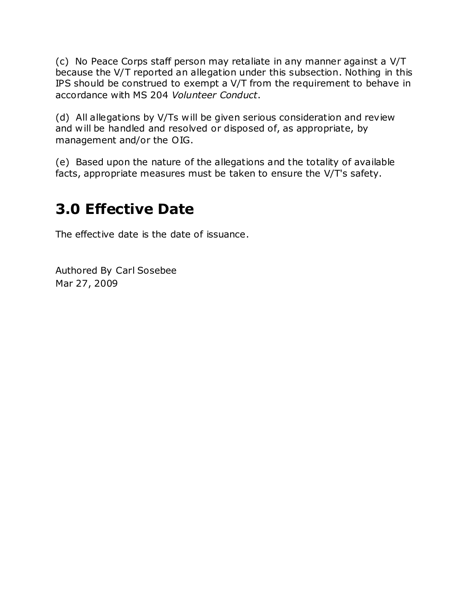(c) No Peace Corps staff person may retaliate in any manner against a V/T because the V/T reported an allegation under this subsection. Nothing in this IPS should be construed to exempt a V/T from the requirement to behave in accordance with MS 204 *Volunteer Conduct*.

(d) All allegations by V/Ts will be given serious consideration and review and will be handled and resolved or disposed of, as appropriate, by management and/or the OIG.

(e) Based upon the nature of the allegations and the totality of available facts, appropriate measures must be taken to ensure the V/T's safety.

### **3.0 Effective Date**

The effective date is the date of issuance.

Authored By Carl Sosebee Mar 27, 2009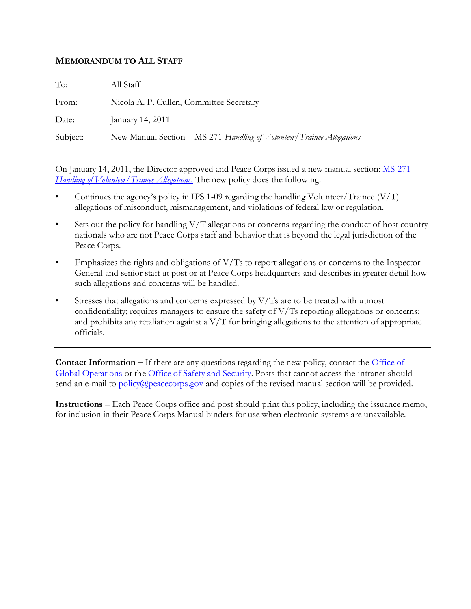#### **MEMORANDUM TO ALL STAFF**

| To:      | All Staff                                                             |
|----------|-----------------------------------------------------------------------|
| From:    | Nicola A. P. Cullen, Committee Secretary                              |
| Date:    | January 14, 2011                                                      |
| Subject: | New Manual Section – MS 271 Handling of Volunteer/Trainee Allegations |
|          |                                                                       |

On January 14, 2011, the Director approved and Peace Corps issued a new manual section: [MS 271](http://inside.peacecorps.gov/index.cfm?viewDocument&document_id=28104&filetype=htm)  *[Handling of Volunteer/Trainee Allegations](http://inside.peacecorps.gov/index.cfm?viewDocument&document_id=28104&filetype=htm)*. The new policy does the following:

- Continues the agency's policy in IPS 1-09 regarding the handling Volunteer/Trainee (V/T) allegations of misconduct, mismanagement, and violations of federal law or regulation.
- Sets out the policy for handling  $V/T$  allegations or concerns regarding the conduct of host country nationals who are not Peace Corps staff and behavior that is beyond the legal jurisdiction of the Peace Corps.
- Emphasizes the rights and obligations of V/Ts to report allegations or concerns to the Inspector General and senior staff at post or at Peace Corps headquarters and describes in greater detail how such allegations and concerns will be handled.
- Stresses that allegations and concerns expressed by  $V/Ts$  are to be treated with utmost confidentiality; requires managers to ensure the safety of  $V/Ts$  reporting allegations or concerns; and prohibits any retaliation against a  $V/T$  for bringing allegations to the attention of appropriate officials.

**Contact Information –** If there are any questions regarding the new policy, contact the [Office of](http://inside.peacecorps.gov/index.cfm?branch=1608)  [Global Operations](http://inside.peacecorps.gov/index.cfm?branch=1608) or the [Office of Safety and](http://inside.peacecorps.gov/index.cfm?branch=33) Security. Posts that cannot access the intranet should send an e-mail to [policy@peacecorps.gov](mailto:policy@peacecorps.gov) and copies of the revised manual section will be provided.

**Instructions** – Each Peace Corps office and post should print this policy, including the issuance memo, for inclusion in their Peace Corps Manual binders for use when electronic systems are unavailable.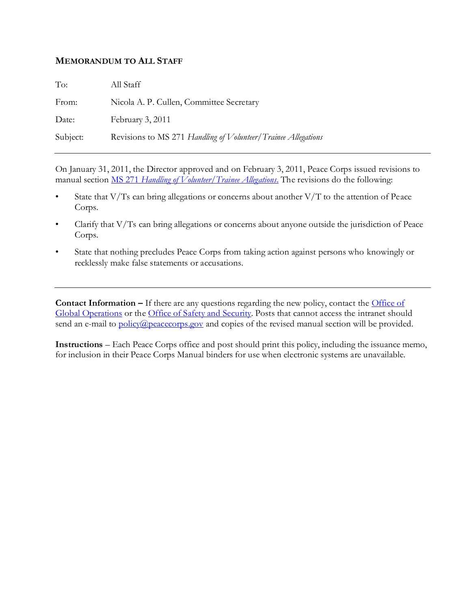#### **MEMORANDUM TO ALL STAFF**

| To:      | All Staff                                                     |
|----------|---------------------------------------------------------------|
| From:    | Nicola A. P. Cullen, Committee Secretary                      |
| Date:    | February 3, 2011                                              |
| Subject: | Revisions to MS 271 Handling of Volunteer/Trainee Allegations |

On January 31, 2011, the Director approved and on February 3, 2011, Peace Corps issued revisions to manual section MS 271 *[Handling of Volunteer/Trainee Allegations](http://inside.peacecorps.gov/index.cfm?viewDocument&document_id=28104&filetype=htm)*. The revisions do the following:

- State that V/Ts can bring allegations or concerns about another V/T to the attention of Peace Corps.
- Clarify that V/Ts can bring allegations or concerns about anyone outside the jurisdiction of Peace Corps.
- State that nothing precludes Peace Corps from taking action against persons who knowingly or recklessly make false statements or accusations.

**Contact Information –** If there are any questions regarding the new policy, contact the **Office of** [Global Operations](http://inside.peacecorps.gov/index.cfm?branch=1608) or the [Office of Safety and](http://inside.peacecorps.gov/index.cfm?branch=33) Security. Posts that cannot access the intranet should send an e-mail to [policy@peacecorps.gov](mailto:policy@peacecorps.gov) and copies of the revised manual section will be provided.

**Instructions** – Each Peace Corps office and post should print this policy, including the issuance memo, for inclusion in their Peace Corps Manual binders for use when electronic systems are unavailable.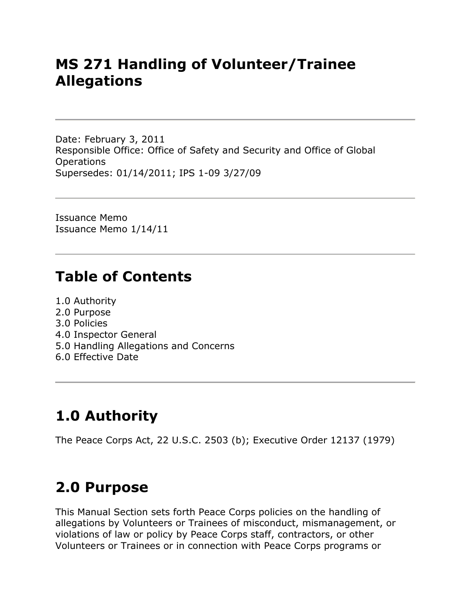### **MS 271 Handling of Volunteer/Trainee Allegations**

Date: February 3, 2011 Responsible Office: Office of Safety and Security and Office of Global Operations Supersedes: 01/14/2011; IPS 1-09 3/27/09

Issuance Memo Issuance Memo 1/14/11

### **Table of Contents**

- 1.0 Authority
- 2.0 Purpose
- 3.0 Policies
- 4.0 Inspector General
- 5.0 Handling Allegations and Concerns
- 6.0 Effective Date

# **1.0 Authority**

The Peace Corps Act, 22 U.S.C. 2503 (b); Executive Order 12137 (1979)

### **2.0 Purpose**

This Manual Section sets forth Peace Corps policies on the handling of allegations by Volunteers or Trainees of misconduct, mismanagement, or violations of law or policy by Peace Corps staff, contractors, or other Volunteers or Trainees or in connection with Peace Corps programs or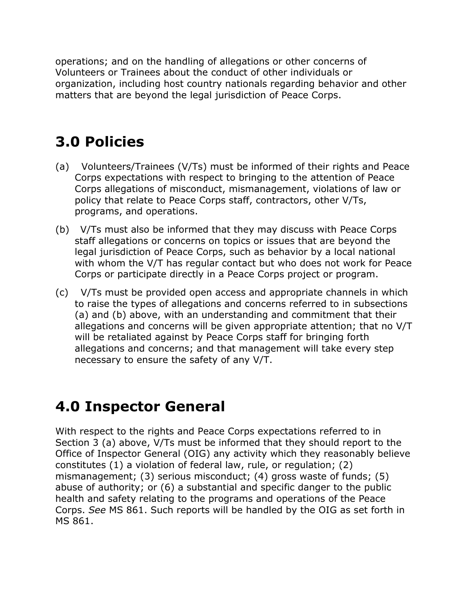operations; and on the handling of allegations or other concerns of Volunteers or Trainees about the conduct of other individuals or organization, including host country nationals regarding behavior and other matters that are beyond the legal jurisdiction of Peace Corps.

# **3.0 Policies**

- (a) Volunteers/Trainees (V/Ts) must be informed of their rights and Peace Corps expectations with respect to bringing to the attention of Peace Corps allegations of misconduct, mismanagement, violations of law or policy that relate to Peace Corps staff, contractors, other V/Ts, programs, and operations.
- (b) V/Ts must also be informed that they may discuss with Peace Corps staff allegations or concerns on topics or issues that are beyond the legal jurisdiction of Peace Corps, such as behavior by a local national with whom the V/T has regular contact but who does not work for Peace Corps or participate directly in a Peace Corps project or program.
- (c) V/Ts must be provided open access and appropriate channels in which to raise the types of allegations and concerns referred to in subsections (a) and (b) above, with an understanding and commitment that their allegations and concerns will be given appropriate attention; that no V/T will be retaliated against by Peace Corps staff for bringing forth allegations and concerns; and that management will take every step necessary to ensure the safety of any V/T.

### **4.0 Inspector General**

With respect to the rights and Peace Corps expectations referred to in Section 3 (a) above, V/Ts must be informed that they should report to the Office of Inspector General (OIG) any activity which they reasonably believe constitutes (1) a violation of federal law, rule, or regulation; (2) mismanagement; (3) serious misconduct; (4) gross waste of funds; (5) abuse of authority; or (6) a substantial and specific danger to the public health and safety relating to the programs and operations of the Peace Corps. *See* MS 861. Such reports will be handled by the OIG as set forth in MS 861.